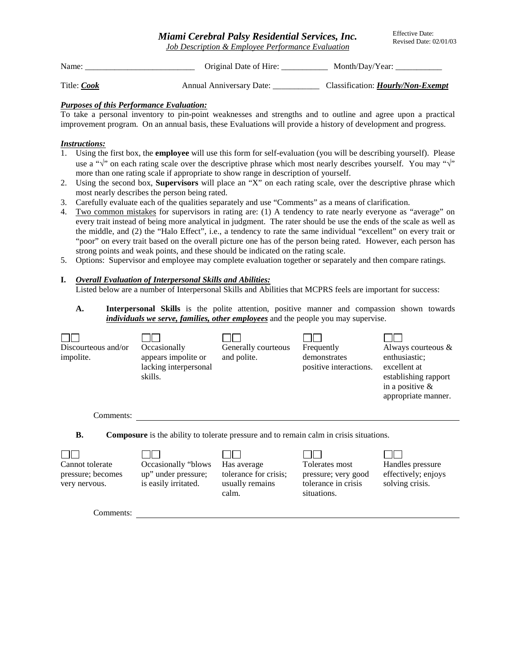*Miami Cerebral Palsy Residential Services, Inc. Job Description & Employee Performance Evaluation*

Effective Date: Revised Date: 02/01/03

Name: Criginal Date of Hire: Month/Day/Year: \_\_\_\_\_\_\_\_\_\_\_\_\_\_\_\_\_\_\_\_\_\_\_\_\_\_\_\_\_\_\_\_\_\_\_

Title: *Cook* Annual Anniversary Date: \_\_\_\_\_\_\_\_\_\_\_ Classification: *Hourly/Non-Exempt*

## *Purposes of this Performance Evaluation:*

To take a personal inventory to pin-point weaknesses and strengths and to outline and agree upon a practical improvement program. On an annual basis, these Evaluations will provide a history of development and progress.

## *Instructions:*

- 1. Using the first box, the **employee** will use this form for self-evaluation (you will be describing yourself). Please use a " $\sqrt{}$ " on each rating scale over the descriptive phrase which most nearly describes yourself. You may " $\sqrt{}$ " more than one rating scale if appropriate to show range in description of yourself.
- 2. Using the second box, **Supervisors** will place an "X" on each rating scale, over the descriptive phrase which most nearly describes the person being rated.
- 3. Carefully evaluate each of the qualities separately and use "Comments" as a means of clarification.
- 4. Two common mistakes for supervisors in rating are: (1) A tendency to rate nearly everyone as "average" on every trait instead of being more analytical in judgment. The rater should be use the ends of the scale as well as the middle, and (2) the "Halo Effect", i.e., a tendency to rate the same individual "excellent" on every trait or "poor" on every trait based on the overall picture one has of the person being rated. However, each person has strong points and weak points, and these should be indicated on the rating scale.
- 5. Options: Supervisor and employee may complete evaluation together or separately and then compare ratings.

# **I.** *Overall Evaluation of Interpersonal Skills and Abilities:*

Listed below are a number of Interpersonal Skills and Abilities that MCPRS feels are important for success:

**A. Interpersonal Skills** is the polite attention, positive manner and compassion shown towards *individuals we serve, families, other employees* and the people you may supervise.

| Discourteous and/or<br>impolite.                      | Occasionally<br>appears impolite or<br>lacking interpersonal<br>skills.                       | Generally courteous<br>and polite.                               | Frequently<br>demonstrates<br>positive interactions.                        | Always courteous $\&$<br>enthusiastic;<br>excellent at<br>establishing rapport<br>in a positive $\&$<br>appropriate manner. |
|-------------------------------------------------------|-----------------------------------------------------------------------------------------------|------------------------------------------------------------------|-----------------------------------------------------------------------------|-----------------------------------------------------------------------------------------------------------------------------|
| Comments:                                             |                                                                                               |                                                                  |                                                                             |                                                                                                                             |
| <b>B.</b>                                             | <b>Composure</b> is the ability to tolerate pressure and to remain calm in crisis situations. |                                                                  |                                                                             |                                                                                                                             |
| Cannot tolerate<br>pressure; becomes<br>very nervous. | Occasionally "blows"<br>up" under pressure;<br>is easily irritated.                           | Has average<br>tolerance for crisis;<br>usually remains<br>calm. | Tolerates most<br>pressure; very good<br>tolerance in crisis<br>situations. | Handles pressure<br>effectively; enjoys<br>solving crisis.                                                                  |
|                                                       |                                                                                               |                                                                  |                                                                             |                                                                                                                             |

Comments: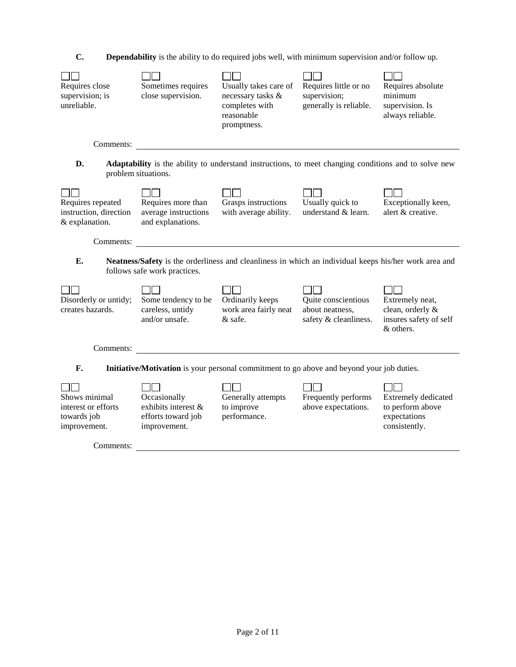| J. |  |  |  | <b>Dependability</b> is the ability to do required jobs well, with minimum supervision and/or follow up. |  |
|----|--|--|--|----------------------------------------------------------------------------------------------------------|--|
|----|--|--|--|----------------------------------------------------------------------------------------------------------|--|

| Requires close<br>supervision; is<br>unreliable.                                                | Sometimes requires<br>close supervision.                                  | Usually takes care of<br>necessary tasks &<br>completes with<br>reasonable<br>promptness.             | Requires little or no<br>supervision;<br>generally is reliable. | Requires absolute<br>minimum<br>supervision. Is<br>always reliable.        |  |  |  |  |  |
|-------------------------------------------------------------------------------------------------|---------------------------------------------------------------------------|-------------------------------------------------------------------------------------------------------|-----------------------------------------------------------------|----------------------------------------------------------------------------|--|--|--|--|--|
| Comments:                                                                                       |                                                                           |                                                                                                       |                                                                 |                                                                            |  |  |  |  |  |
| D.                                                                                              | problem situations.                                                       | Adaptability is the ability to understand instructions, to meet changing conditions and to solve new  |                                                                 |                                                                            |  |  |  |  |  |
| Requires repeated<br>instruction, direction<br>& explanation.                                   | Requires more than<br>average instructions<br>and explanations.           | Grasps instructions<br>with average ability.                                                          | Usually quick to<br>understand & learn.                         | Exceptionally keen,<br>alert & creative.                                   |  |  |  |  |  |
| Comments:                                                                                       |                                                                           |                                                                                                       |                                                                 |                                                                            |  |  |  |  |  |
| E.                                                                                              | follows safe work practices.                                              | Neatness/Safety is the orderliness and cleanliness in which an individual keeps his/her work area and |                                                                 |                                                                            |  |  |  |  |  |
| Disorderly or untidy;<br>creates hazards.                                                       | Some tendency to be<br>careless, untidy<br>and/or unsafe.                 | Ordinarily keeps<br>work area fairly neat<br>& safe.                                                  | Quite conscientious<br>about neatness,<br>safety & cleanliness. | Extremely neat,<br>clean, orderly &<br>insures safety of self<br>& others. |  |  |  |  |  |
| Comments:                                                                                       |                                                                           |                                                                                                       |                                                                 |                                                                            |  |  |  |  |  |
| F.<br>Initiative/Motivation is your personal commitment to go above and beyond your job duties. |                                                                           |                                                                                                       |                                                                 |                                                                            |  |  |  |  |  |
| Shows minimal<br>interest or efforts<br>towards job<br>improvement.                             | Occasionally<br>exhibits interest &<br>efforts toward job<br>improvement. | Generally attempts<br>to improve<br>performance.                                                      | Frequently performs<br>above expectations.                      | Extremely dedicated<br>to perform above<br>expectations<br>consistently.   |  |  |  |  |  |
| Comments:                                                                                       |                                                                           |                                                                                                       |                                                                 |                                                                            |  |  |  |  |  |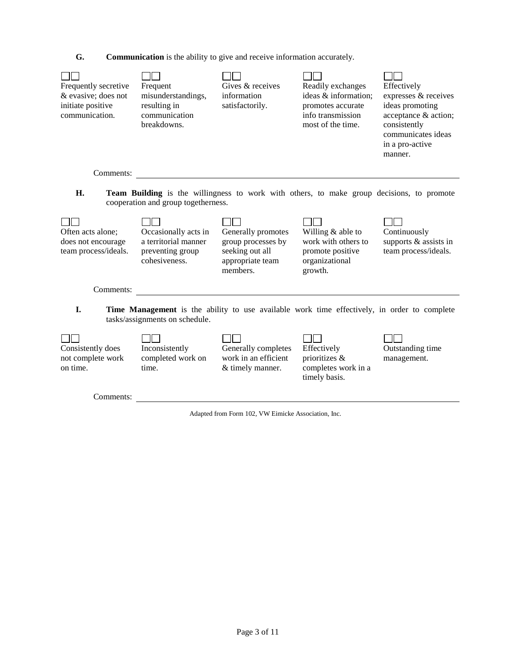**G. Communication** is the ability to give and receive information accurately.



Adapted from Form 102, VW Eimicke Association, Inc.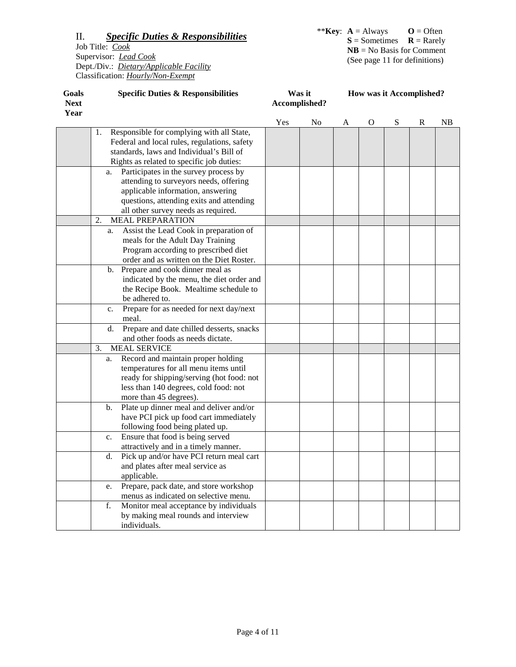| Goals<br><b>Next</b><br>Year | <b>Specific Duties &amp; Responsibilities</b>     | Was it<br>Accomplished? |    |   | How was it Accomplished? |   |             |    |
|------------------------------|---------------------------------------------------|-------------------------|----|---|--------------------------|---|-------------|----|
|                              |                                                   | Yes                     | No | A | $\mathbf O$              | S | $\mathbf R$ | NB |
|                              | Responsible for complying with all State,<br>1.   |                         |    |   |                          |   |             |    |
|                              | Federal and local rules, regulations, safety      |                         |    |   |                          |   |             |    |
|                              | standards, laws and Individual's Bill of          |                         |    |   |                          |   |             |    |
|                              | Rights as related to specific job duties:         |                         |    |   |                          |   |             |    |
|                              | Participates in the survey process by<br>a.       |                         |    |   |                          |   |             |    |
|                              | attending to surveyors needs, offering            |                         |    |   |                          |   |             |    |
|                              | applicable information, answering                 |                         |    |   |                          |   |             |    |
|                              | questions, attending exits and attending          |                         |    |   |                          |   |             |    |
|                              | all other survey needs as required.               |                         |    |   |                          |   |             |    |
|                              | <b>MEAL PREPARATION</b><br>2.                     |                         |    |   |                          |   |             |    |
|                              | Assist the Lead Cook in preparation of<br>a.      |                         |    |   |                          |   |             |    |
|                              | meals for the Adult Day Training                  |                         |    |   |                          |   |             |    |
|                              | Program according to prescribed diet              |                         |    |   |                          |   |             |    |
|                              | order and as written on the Diet Roster.          |                         |    |   |                          |   |             |    |
|                              | Prepare and cook dinner meal as<br>$\mathbf{b}$ . |                         |    |   |                          |   |             |    |
|                              | indicated by the menu, the diet order and         |                         |    |   |                          |   |             |    |
|                              | the Recipe Book. Mealtime schedule to             |                         |    |   |                          |   |             |    |
|                              | be adhered to.                                    |                         |    |   |                          |   |             |    |
|                              | Prepare for as needed for next day/next<br>c.     |                         |    |   |                          |   |             |    |
|                              | meal.                                             |                         |    |   |                          |   |             |    |
|                              | Prepare and date chilled desserts, snacks<br>d.   |                         |    |   |                          |   |             |    |
|                              | and other foods as needs dictate.                 |                         |    |   |                          |   |             |    |
|                              | 3.<br><b>MEAL SERVICE</b>                         |                         |    |   |                          |   |             |    |
|                              | Record and maintain proper holding<br>a.          |                         |    |   |                          |   |             |    |
|                              | temperatures for all menu items until             |                         |    |   |                          |   |             |    |
|                              | ready for shipping/serving (hot food: not         |                         |    |   |                          |   |             |    |
|                              | less than 140 degrees, cold food: not             |                         |    |   |                          |   |             |    |
|                              | more than 45 degrees).                            |                         |    |   |                          |   |             |    |
|                              | Plate up dinner meal and deliver and/or<br>b.     |                         |    |   |                          |   |             |    |
|                              | have PCI pick up food cart immediately            |                         |    |   |                          |   |             |    |
|                              | following food being plated up.                   |                         |    |   |                          |   |             |    |
|                              | Ensure that food is being served<br>c.            |                         |    |   |                          |   |             |    |
|                              | attractively and in a timely manner.              |                         |    |   |                          |   |             |    |
|                              | Pick up and/or have PCI return meal cart<br>d.    |                         |    |   |                          |   |             |    |
|                              | and plates after meal service as                  |                         |    |   |                          |   |             |    |
|                              | applicable.                                       |                         |    |   |                          |   |             |    |
|                              | Prepare, pack date, and store workshop<br>e.      |                         |    |   |                          |   |             |    |
|                              | menus as indicated on selective menu.             |                         |    |   |                          |   |             |    |
|                              | Monitor meal acceptance by individuals<br>f.      |                         |    |   |                          |   |             |    |
|                              | by making meal rounds and interview               |                         |    |   |                          |   |             |    |
|                              | individuals.                                      |                         |    |   |                          |   |             |    |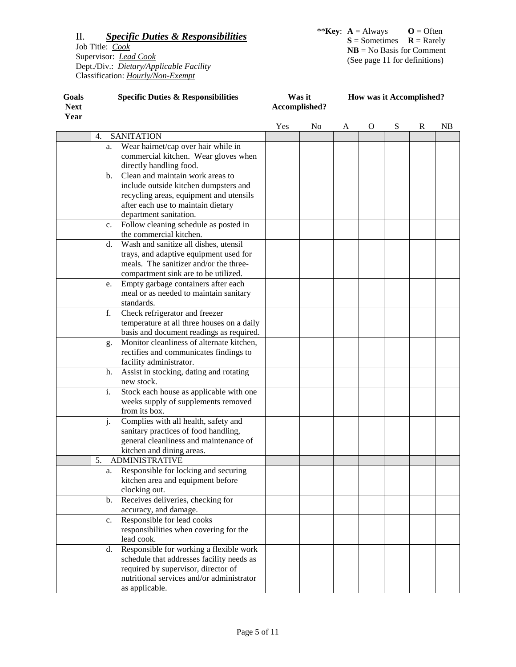| Goals               | <b>Specific Duties &amp; Responsibilities</b> | Was it        | <b>How was it Accomplished?</b> |  |  |
|---------------------|-----------------------------------------------|---------------|---------------------------------|--|--|
| <b>Next</b><br>Year |                                               | Accomplished? |                                 |  |  |
|                     |                                               |               |                                 |  |  |

|                                                      | Yes | N <sub>0</sub> | A | $\Omega$ | S | R | NB |
|------------------------------------------------------|-----|----------------|---|----------|---|---|----|
| <b>SANITATION</b><br>4.                              |     |                |   |          |   |   |    |
| Wear hairnet/cap over hair while in<br>a.            |     |                |   |          |   |   |    |
| commercial kitchen. Wear gloves when                 |     |                |   |          |   |   |    |
| directly handling food.                              |     |                |   |          |   |   |    |
| Clean and maintain work areas to<br>b.               |     |                |   |          |   |   |    |
| include outside kitchen dumpsters and                |     |                |   |          |   |   |    |
| recycling areas, equipment and utensils              |     |                |   |          |   |   |    |
| after each use to maintain dietary                   |     |                |   |          |   |   |    |
| department sanitation.                               |     |                |   |          |   |   |    |
| Follow cleaning schedule as posted in<br>c.          |     |                |   |          |   |   |    |
| the commercial kitchen.                              |     |                |   |          |   |   |    |
| Wash and sanitize all dishes, utensil<br>$d_{\cdot}$ |     |                |   |          |   |   |    |
| trays, and adaptive equipment used for               |     |                |   |          |   |   |    |
| meals. The sanitizer and/or the three-               |     |                |   |          |   |   |    |
| compartment sink are to be utilized.                 |     |                |   |          |   |   |    |
| Empty garbage containers after each<br>e.            |     |                |   |          |   |   |    |
| meal or as needed to maintain sanitary               |     |                |   |          |   |   |    |
| standards.                                           |     |                |   |          |   |   |    |
| f.<br>Check refrigerator and freezer                 |     |                |   |          |   |   |    |
| temperature at all three houses on a daily           |     |                |   |          |   |   |    |
| basis and document readings as required.             |     |                |   |          |   |   |    |
| Monitor cleanliness of alternate kitchen,<br>g.      |     |                |   |          |   |   |    |
| rectifies and communicates findings to               |     |                |   |          |   |   |    |
| facility administrator.                              |     |                |   |          |   |   |    |
| Assist in stocking, dating and rotating<br>h.        |     |                |   |          |   |   |    |
| new stock.                                           |     |                |   |          |   |   |    |
| i.<br>Stock each house as applicable with one        |     |                |   |          |   |   |    |
| weeks supply of supplements removed                  |     |                |   |          |   |   |    |
| from its box.                                        |     |                |   |          |   |   |    |
|                                                      |     |                |   |          |   |   |    |
| j.<br>Complies with all health, safety and           |     |                |   |          |   |   |    |
| sanitary practices of food handling,                 |     |                |   |          |   |   |    |
| general cleanliness and maintenance of               |     |                |   |          |   |   |    |
| kitchen and dining areas.                            |     |                |   |          |   |   |    |
| 5.<br><b>ADMINISTRATIVE</b>                          |     |                |   |          |   |   |    |
| Responsible for locking and securing<br>a.           |     |                |   |          |   |   |    |
| kitchen area and equipment before                    |     |                |   |          |   |   |    |
| clocking out.                                        |     |                |   |          |   |   |    |
| Receives deliveries, checking for<br>b.              |     |                |   |          |   |   |    |
| accuracy, and damage.                                |     |                |   |          |   |   |    |
| Responsible for lead cooks<br>c.                     |     |                |   |          |   |   |    |
| responsibilities when covering for the               |     |                |   |          |   |   |    |
| lead cook.                                           |     |                |   |          |   |   |    |
| Responsible for working a flexible work<br>d.        |     |                |   |          |   |   |    |
| schedule that addresses facility needs as            |     |                |   |          |   |   |    |
| required by supervisor, director of                  |     |                |   |          |   |   |    |
| nutritional services and/or administrator            |     |                |   |          |   |   |    |
| as applicable.                                       |     |                |   |          |   |   |    |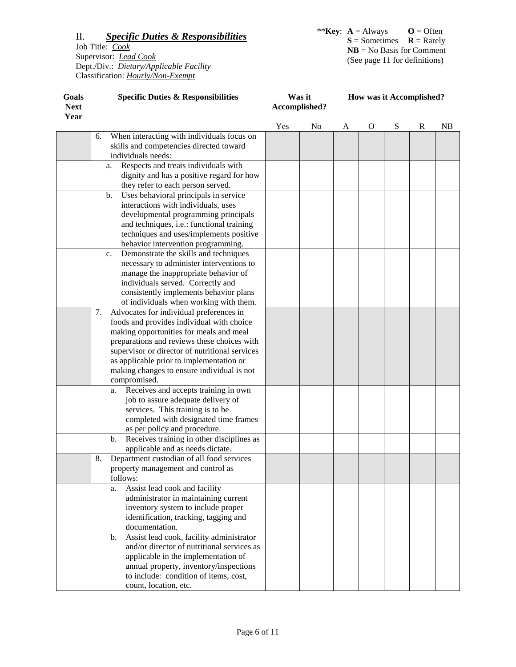| Goals<br><b>Next</b><br>Year | <b>Specific Duties &amp; Responsibilities</b>                                                                     | Was it<br>Accomplished? |    |   |              | How was it Accomplished? |              |    |
|------------------------------|-------------------------------------------------------------------------------------------------------------------|-------------------------|----|---|--------------|--------------------------|--------------|----|
|                              |                                                                                                                   | Yes                     | No | A | $\mathbf{O}$ | S                        | $\mathbb{R}$ | NB |
|                              | When interacting with individuals focus on<br>6.<br>skills and competencies directed toward<br>individuals needs: |                         |    |   |              |                          |              |    |
|                              | Respects and treats individuals with<br>a.                                                                        |                         |    |   |              |                          |              |    |
|                              | dignity and has a positive regard for how                                                                         |                         |    |   |              |                          |              |    |
|                              | they refer to each person served.                                                                                 |                         |    |   |              |                          |              |    |
|                              | Uses behavioral principals in service<br>b.                                                                       |                         |    |   |              |                          |              |    |
|                              | interactions with individuals, uses                                                                               |                         |    |   |              |                          |              |    |
|                              | developmental programming principals                                                                              |                         |    |   |              |                          |              |    |
|                              | and techniques, i.e.: functional training                                                                         |                         |    |   |              |                          |              |    |
|                              | techniques and uses/implements positive                                                                           |                         |    |   |              |                          |              |    |
|                              | behavior intervention programming.                                                                                |                         |    |   |              |                          |              |    |
|                              | Demonstrate the skills and techniques<br>c.                                                                       |                         |    |   |              |                          |              |    |
|                              | necessary to administer interventions to                                                                          |                         |    |   |              |                          |              |    |
|                              | manage the inappropriate behavior of                                                                              |                         |    |   |              |                          |              |    |
|                              | individuals served. Correctly and                                                                                 |                         |    |   |              |                          |              |    |
|                              | consistently implements behavior plans                                                                            |                         |    |   |              |                          |              |    |
|                              | of individuals when working with them.                                                                            |                         |    |   |              |                          |              |    |
|                              | 7.<br>Advocates for individual preferences in                                                                     |                         |    |   |              |                          |              |    |
|                              | foods and provides individual with choice                                                                         |                         |    |   |              |                          |              |    |
|                              | making opportunities for meals and meal                                                                           |                         |    |   |              |                          |              |    |
|                              | preparations and reviews these choices with                                                                       |                         |    |   |              |                          |              |    |
|                              | supervisor or director of nutritional services                                                                    |                         |    |   |              |                          |              |    |
|                              | as applicable prior to implementation or                                                                          |                         |    |   |              |                          |              |    |
|                              | making changes to ensure individual is not                                                                        |                         |    |   |              |                          |              |    |
|                              | compromised.                                                                                                      |                         |    |   |              |                          |              |    |
|                              | Receives and accepts training in own<br>a.                                                                        |                         |    |   |              |                          |              |    |
|                              | job to assure adequate delivery of                                                                                |                         |    |   |              |                          |              |    |
|                              | services. This training is to be                                                                                  |                         |    |   |              |                          |              |    |
|                              | completed with designated time frames                                                                             |                         |    |   |              |                          |              |    |
|                              | as per policy and procedure.                                                                                      |                         |    |   |              |                          |              |    |
|                              | Receives training in other disciplines as<br>b.                                                                   |                         |    |   |              |                          |              |    |
|                              | applicable and as needs dictate.<br>Department custodian of all food services                                     |                         |    |   |              |                          |              |    |
|                              | 8.                                                                                                                |                         |    |   |              |                          |              |    |
|                              | property management and control as<br>follows:                                                                    |                         |    |   |              |                          |              |    |
|                              | Assist lead cook and facility<br>a.                                                                               |                         |    |   |              |                          |              |    |
|                              | administrator in maintaining current                                                                              |                         |    |   |              |                          |              |    |
|                              | inventory system to include proper                                                                                |                         |    |   |              |                          |              |    |
|                              | identification, tracking, tagging and                                                                             |                         |    |   |              |                          |              |    |
|                              | documentation.                                                                                                    |                         |    |   |              |                          |              |    |
|                              | Assist lead cook, facility administrator<br>b.                                                                    |                         |    |   |              |                          |              |    |
|                              | and/or director of nutritional services as                                                                        |                         |    |   |              |                          |              |    |
|                              | applicable in the implementation of                                                                               |                         |    |   |              |                          |              |    |
|                              | annual property, inventory/inspections                                                                            |                         |    |   |              |                          |              |    |
|                              | to include: condition of items, cost,                                                                             |                         |    |   |              |                          |              |    |
|                              | count, location, etc.                                                                                             |                         |    |   |              |                          |              |    |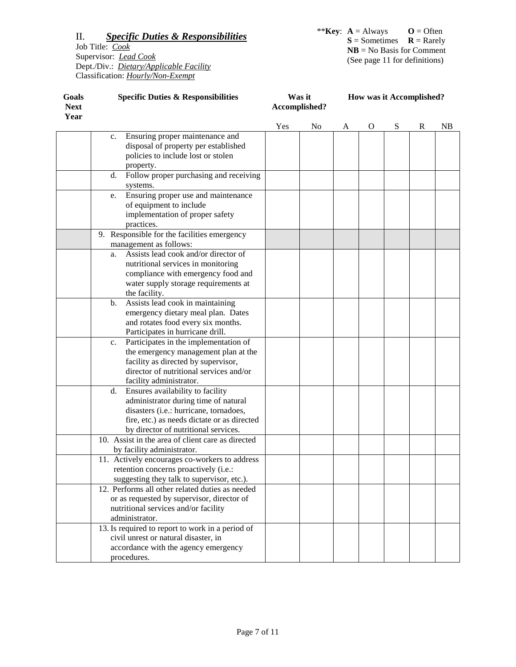| Goals<br><b>Next</b> | <b>Specific Duties &amp; Responsibilities</b><br>Year                                                                                                                                                           |     | Was it<br>Accomplished? |   | How was it Accomplished? |   |   |    |
|----------------------|-----------------------------------------------------------------------------------------------------------------------------------------------------------------------------------------------------------------|-----|-------------------------|---|--------------------------|---|---|----|
|                      |                                                                                                                                                                                                                 | Yes | No                      | A | O                        | S | R | NB |
|                      | Ensuring proper maintenance and<br>c.<br>disposal of property per established<br>policies to include lost or stolen                                                                                             |     |                         |   |                          |   |   |    |
|                      | property.                                                                                                                                                                                                       |     |                         |   |                          |   |   |    |
|                      | Follow proper purchasing and receiving<br>d.<br>systems.                                                                                                                                                        |     |                         |   |                          |   |   |    |
|                      | Ensuring proper use and maintenance<br>e.<br>of equipment to include<br>implementation of proper safety<br>practices.                                                                                           |     |                         |   |                          |   |   |    |
|                      | 9. Responsible for the facilities emergency<br>management as follows:                                                                                                                                           |     |                         |   |                          |   |   |    |
|                      | Assists lead cook and/or director of<br>a.<br>nutritional services in monitoring<br>compliance with emergency food and<br>water supply storage requirements at<br>the facility.                                 |     |                         |   |                          |   |   |    |
|                      | Assists lead cook in maintaining<br>b.<br>emergency dietary meal plan. Dates<br>and rotates food every six months.<br>Participates in hurricane drill.                                                          |     |                         |   |                          |   |   |    |
|                      | Participates in the implementation of<br>c.<br>the emergency management plan at the<br>facility as directed by supervisor,<br>director of nutritional services and/or<br>facility administrator.                |     |                         |   |                          |   |   |    |
|                      | Ensures availability to facility<br>d.<br>administrator during time of natural<br>disasters (i.e.: hurricane, tornadoes,<br>fire, etc.) as needs dictate or as directed<br>by director of nutritional services. |     |                         |   |                          |   |   |    |
|                      | 10. Assist in the area of client care as directed<br>by facility administrator.                                                                                                                                 |     |                         |   |                          |   |   |    |
|                      | 11. Actively encourages co-workers to address<br>retention concerns proactively (i.e.:<br>suggesting they talk to supervisor, etc.).                                                                            |     |                         |   |                          |   |   |    |
|                      | 12. Performs all other related duties as needed<br>or as requested by supervisor, director of<br>nutritional services and/or facility<br>administrator.                                                         |     |                         |   |                          |   |   |    |
|                      | 13. Is required to report to work in a period of<br>civil unrest or natural disaster, in<br>accordance with the agency emergency<br>procedures.                                                                 |     |                         |   |                          |   |   |    |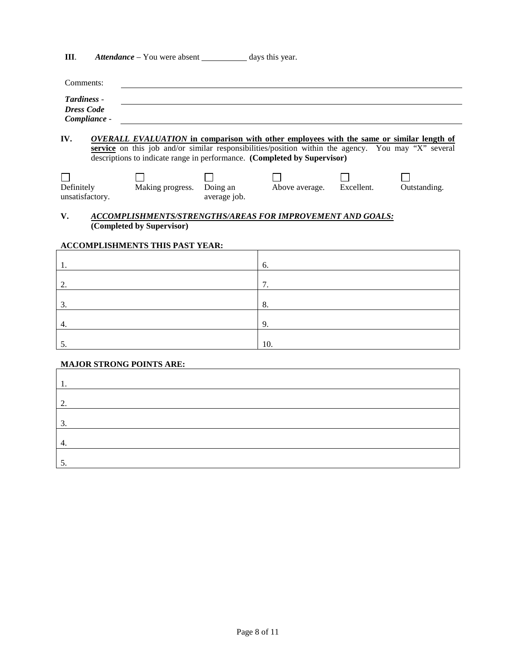**III**. *Attendance* – You were absent \_\_\_\_\_\_\_\_\_\_\_ days this year.

| Comments:         |  |
|-------------------|--|
| Tardiness -       |  |
| <b>Dress Code</b> |  |
| Compliance -      |  |

**IV.** *OVERALL EVALUATION* **in comparison with other employees with the same or similar length of service** on this job and/or similar responsibilities/position within the agency. You may "X" several descriptions to indicate range in performance. **(Completed by Supervisor)**

| Definitely      | Making progress. | Doing an     | Above average. | Excellent. | Outstanding. |
|-----------------|------------------|--------------|----------------|------------|--------------|
| unsatisfactory. |                  | average job. |                |            |              |

#### **V.** *ACCOMPLISHMENTS/STRENGTHS/AREAS FOR IMPROVEMENT AND GOALS:* **(Completed by Supervisor)**

## **ACCOMPLISHMENTS THIS PAST YEAR:**

| . .                | 6.                   |
|--------------------|----------------------|
| ി<br>، سە          | $\mathcal{L}$<br>. . |
| ⌒<br>$\mathcal{L}$ | 8.                   |
| 4.                 | 9.                   |
| . ب                | 10.                  |

#### **MAJOR STRONG POINTS ARE:**

| ◠  |  |
|----|--|
| っ  |  |
| т. |  |
|    |  |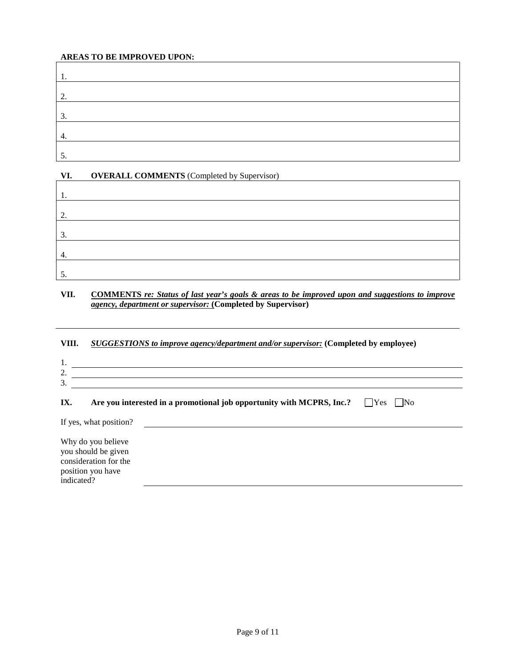## **AREAS TO BE IMPROVED UPON:**

| ◠<br>٠. |  |
|---------|--|
| 3.      |  |
| ٠.      |  |
| C.      |  |

# **VI. OVERALL COMMENTS** (Completed by Supervisor)

| ◠<br>، ت |  |  |
|----------|--|--|
| 3.       |  |  |
| ᅮ.       |  |  |
| C.       |  |  |

## **VII. COMMENTS** *re: Status of last year's goals & areas to be improved upon and suggestions to improve agency, department or supervisor:* **(Completed by Supervisor)**

# **VIII.** *SUGGESTIONS to improve agency/department and/or supervisor:* **(Completed by employee)**

| . .           |  |
|---------------|--|
| <u>.</u>      |  |
| ╭<br><u>.</u> |  |
|               |  |

# **IX. Are you interested in a promotional job opportunity with MCPRS, Inc.?**  $\Box$ Yes  $\Box$ No

| If yes, what position?                                                                                |  |  |
|-------------------------------------------------------------------------------------------------------|--|--|
| Why do you believe<br>you should be given<br>consideration for the<br>position you have<br>indicated? |  |  |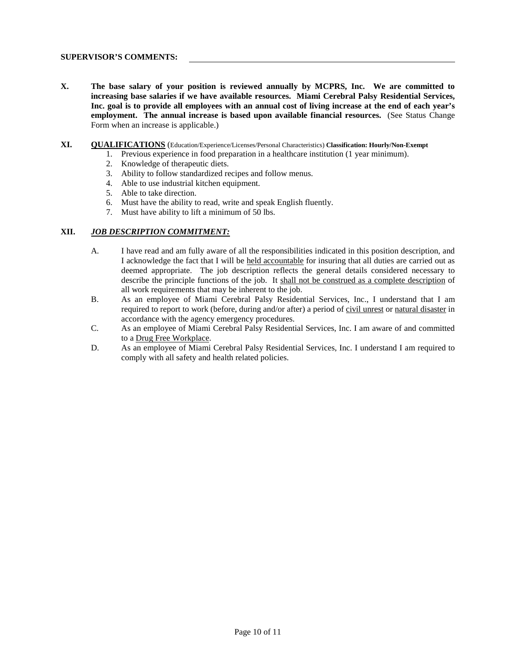#### **SUPERVISOR'S COMMENTS:**

- **X. The base salary of your position is reviewed annually by MCPRS, Inc. We are committed to increasing base salaries if we have available resources. Miami Cerebral Palsy Residential Services, Inc. goal is to provide all employees with an annual cost of living increase at the end of each year's employment. The annual increase is based upon available financial resources.** (See Status Change Form when an increase is applicable.)
- **XI. QUALIFICATIONS** (Education/Experience/Licenses/Personal Characteristics) **Classification: Hourly/Non-Exempt**
	- 1. Previous experience in food preparation in a healthcare institution (1 year minimum).
		- 2. Knowledge of therapeutic diets.
		- 3. Ability to follow standardized recipes and follow menus.
		- 4. Able to use industrial kitchen equipment.
		- 5. Able to take direction.
		- 6. Must have the ability to read, write and speak English fluently.
		- 7. Must have ability to lift a minimum of 50 lbs.

#### **XII.** *JOB DESCRIPTION COMMITMENT:*

- A. I have read and am fully aware of all the responsibilities indicated in this position description, and I acknowledge the fact that I will be held accountable for insuring that all duties are carried out as deemed appropriate. The job description reflects the general details considered necessary to describe the principle functions of the job. It shall not be construed as a complete description of all work requirements that may be inherent to the job.
- B. As an employee of Miami Cerebral Palsy Residential Services, Inc., I understand that I am required to report to work (before, during and/or after) a period of civil unrest or natural disaster in accordance with the agency emergency procedures.
- C. As an employee of Miami Cerebral Palsy Residential Services, Inc. I am aware of and committed to a Drug Free Workplace.
- D. As an employee of Miami Cerebral Palsy Residential Services, Inc. I understand I am required to comply with all safety and health related policies.